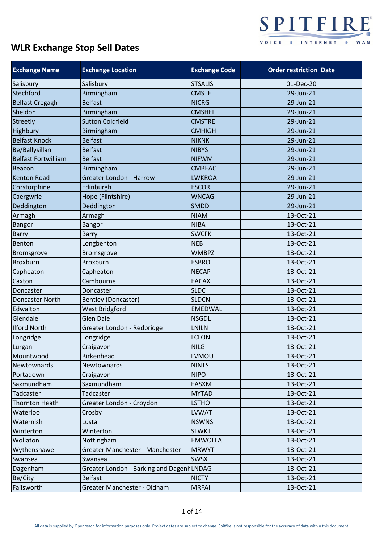

| <b>Exchange Name</b>       | <b>Exchange Location</b>                 | <b>Exchange Code</b> | <b>Order restriction Date</b> |
|----------------------------|------------------------------------------|----------------------|-------------------------------|
| Salisbury                  | Salisbury                                | <b>STSALIS</b>       | 01-Dec-20                     |
| Stechford                  | Birmingham                               | <b>CMSTE</b>         | 29-Jun-21                     |
| <b>Belfast Cregagh</b>     | <b>Belfast</b>                           | <b>NICRG</b>         | 29-Jun-21                     |
| Sheldon                    | Birmingham                               | <b>CMSHEL</b>        | 29-Jun-21                     |
| <b>Streetly</b>            | <b>Sutton Coldfield</b>                  | <b>CMSTRE</b>        | 29-Jun-21                     |
| Highbury                   | Birmingham                               | <b>CMHIGH</b>        | 29-Jun-21                     |
| <b>Belfast Knock</b>       | <b>Belfast</b>                           | <b>NIKNK</b>         | 29-Jun-21                     |
| Be/Ballysillan             | <b>Belfast</b>                           | <b>NIBYS</b>         | 29-Jun-21                     |
| <b>Belfast Fortwilliam</b> | <b>Belfast</b>                           | <b>NIFWM</b>         | 29-Jun-21                     |
| <b>Beacon</b>              | Birmingham                               | <b>CMBEAC</b>        | 29-Jun-21                     |
| <b>Kenton Road</b>         | <b>Greater London - Harrow</b>           | <b>LWKROA</b>        | 29-Jun-21                     |
| Corstorphine               | Edinburgh                                | <b>ESCOR</b>         | 29-Jun-21                     |
| Caergwrle                  | Hope (Flintshire)                        | <b>WNCAG</b>         | 29-Jun-21                     |
| Deddington                 | Deddington                               | <b>SMDD</b>          | 29-Jun-21                     |
| Armagh                     | Armagh                                   | <b>NIAM</b>          | 13-Oct-21                     |
| <b>Bangor</b>              | <b>Bangor</b>                            | <b>NIBA</b>          | 13-Oct-21                     |
| Barry                      | Barry                                    | <b>SWCFK</b>         | 13-Oct-21                     |
| Benton                     | Longbenton                               | <b>NEB</b>           | 13-Oct-21                     |
| Bromsgrove                 | Bromsgrove                               | <b>WMBPZ</b>         | 13-Oct-21                     |
| <b>Broxburn</b>            | <b>Broxburn</b>                          | <b>ESBRO</b>         | 13-Oct-21                     |
| Capheaton                  | Capheaton                                | <b>NECAP</b>         | 13-Oct-21                     |
| Caxton                     | Cambourne                                | <b>EACAX</b>         | 13-Oct-21                     |
| Doncaster                  | Doncaster                                | <b>SLDC</b>          | 13-Oct-21                     |
| Doncaster North            | Bentley (Doncaster)                      | <b>SLDCN</b>         | 13-Oct-21                     |
| Edwalton                   | West Bridgford                           | <b>EMEDWAL</b>       | 13-Oct-21                     |
| Glendale                   | <b>Glen Dale</b>                         | <b>NSGDL</b>         | 13-Oct-21                     |
| <b>Ilford North</b>        | Greater London - Redbridge               | <b>LNILN</b>         | 13-Oct-21                     |
| Longridge                  | Longridge                                | <b>LCLON</b>         | 13-Oct-21                     |
| Lurgan                     | Craigavon                                | <b>NILG</b>          | 13-Oct-21                     |
| Mountwood                  | Birkenhead                               | <b>LVMOU</b>         | 13-Oct-21                     |
| Newtownards                | Newtownards                              | <b>NINTS</b>         | 13-Oct-21                     |
| Portadown                  | Craigavon                                | <b>NIPO</b>          | 13-Oct-21                     |
| Saxmundham                 | Saxmundham                               | EASXM                | 13-Oct-21                     |
| Tadcaster                  | Tadcaster                                | <b>MYTAD</b>         | 13-Oct-21                     |
| <b>Thornton Heath</b>      | Greater London - Croydon                 | <b>LSTHO</b>         | 13-Oct-21                     |
| Waterloo                   | Crosby                                   | <b>LVWAT</b>         | 13-Oct-21                     |
| Waternish                  | Lusta                                    | <b>NSWNS</b>         | 13-Oct-21                     |
| Winterton                  | Winterton                                | <b>SLWKT</b>         | 13-Oct-21                     |
| Wollaton                   | Nottingham                               | <b>EMWOLLA</b>       | 13-Oct-21                     |
| Wythenshawe                | Greater Manchester - Manchester          | <b>MRWYT</b>         | 13-Oct-21                     |
| Swansea                    | Swansea                                  | <b>SWSX</b>          | 13-Oct-21                     |
| Dagenham                   | Greater London - Barking and DagenhLNDAG |                      | 13-Oct-21                     |
| Be/City                    | <b>Belfast</b>                           | <b>NICTY</b>         | 13-Oct-21                     |
| Failsworth                 | Greater Manchester - Oldham              | <b>MRFAI</b>         | 13-Oct-21                     |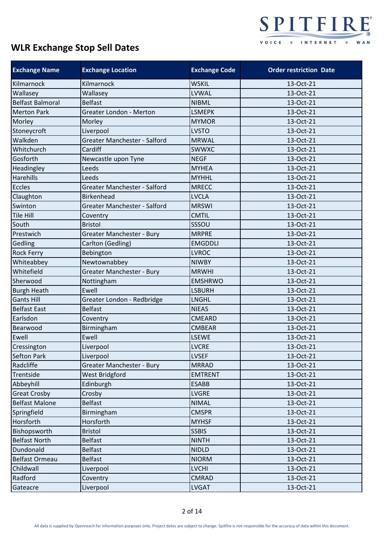

| <b>Exchange Name</b>    | <b>Exchange Location</b>       | <b>Exchange Code</b> | <b>Order restriction Date</b> |
|-------------------------|--------------------------------|----------------------|-------------------------------|
| Kilmarnock              | Kilmarnock                     | <b>WSKIL</b>         | 13-Oct-21                     |
| Wallasey                | Wallasey                       | <b>LVWAL</b>         | 13-Oct-21                     |
| <b>Belfast Balmoral</b> | <b>Belfast</b>                 | <b>NIBML</b>         | 13-Oct-21                     |
| <b>Merton Park</b>      | <b>Greater London - Merton</b> | <b>LSMEPK</b>        | 13-Oct-21                     |
| Morley                  | Morley                         | <b>MYMOR</b>         | 13-Oct-21                     |
| Stoneycroft             | Liverpool                      | <b>LVSTO</b>         | 13-Oct-21                     |
| Walkden                 | Greater Manchester - Salford   | <b>MRWAL</b>         | 13-Oct-21                     |
| Whitchurch              | Cardiff                        | <b>SWWXC</b>         | 13-Oct-21                     |
| Gosforth                | Newcastle upon Tyne            | <b>NEGF</b>          | 13-Oct-21                     |
| Headingley              | Leeds                          | <b>MYHEA</b>         | 13-Oct-21                     |
| <b>Harehills</b>        | Leeds                          | <b>MYHHL</b>         | 13-Oct-21                     |
| <b>Eccles</b>           | Greater Manchester - Salford   | <b>MRECC</b>         | 13-Oct-21                     |
| Claughton               | <b>Birkenhead</b>              | <b>LVCLA</b>         | 13-Oct-21                     |
| Swinton                 | Greater Manchester - Salford   | <b>MRSWI</b>         | 13-Oct-21                     |
| <b>Tile Hill</b>        | Coventry                       | <b>CMTIL</b>         | 13-Oct-21                     |
| South                   | <b>Bristol</b>                 | SSSOU                | 13-Oct-21                     |
| Prestwich               | Greater Manchester - Bury      | <b>MRPRE</b>         | 13-Oct-21                     |
| Gedling                 | Carlton (Gedling)              | <b>EMGDDLI</b>       | 13-Oct-21                     |
| <b>Rock Ferry</b>       | Bebington                      | <b>LVROC</b>         | 13-Oct-21                     |
| Whiteabbey              | Newtownabbey                   | <b>NIWBY</b>         | 13-Oct-21                     |
| Whitefield              | Greater Manchester - Bury      | <b>MRWHI</b>         | 13-Oct-21                     |
| Sherwood                | Nottingham                     | <b>EMSHRWO</b>       | 13-Oct-21                     |
| <b>Burgh Heath</b>      | Ewell                          | <b>LSBURH</b>        | 13-Oct-21                     |
| <b>Gants Hill</b>       | Greater London - Redbridge     | <b>LNGHL</b>         | 13-Oct-21                     |
| <b>Belfast East</b>     | <b>Belfast</b>                 | <b>NIEAS</b>         | 13-Oct-21                     |
| Earlsdon                | Coventry                       | <b>CMEARD</b>        | 13-Oct-21                     |
| Bearwood                | Birmingham                     | <b>CMBEAR</b>        | 13-Oct-21                     |
| Ewell                   | Ewell                          | <b>LSEWE</b>         | 13-Oct-21                     |
| Cressington             | Liverpool                      | <b>LVCRE</b>         | 13-Oct-21                     |
| <b>Sefton Park</b>      | Liverpool                      | <b>LVSEF</b>         | 13-Oct-21                     |
| Radcliffe               | Greater Manchester - Bury      | <b>MRRAD</b>         | 13-Oct-21                     |
| Trentside               | West Bridgford                 | <b>EMTRENT</b>       | 13-Oct-21                     |
| Abbeyhill               | Edinburgh                      | <b>ESABB</b>         | 13-Oct-21                     |
| <b>Great Crosby</b>     | Crosby                         | <b>LVGRE</b>         | 13-Oct-21                     |
| <b>Belfast Malone</b>   | <b>Belfast</b>                 | <b>NIMAL</b>         | 13-Oct-21                     |
| Springfield             | Birmingham                     | <b>CMSPR</b>         | 13-Oct-21                     |
| Horsforth               | Horsforth                      | <b>MYHSF</b>         | 13-Oct-21                     |
| Bishopsworth            | <b>Bristol</b>                 | <b>SSBIS</b>         | 13-Oct-21                     |
| <b>Belfast North</b>    | <b>Belfast</b>                 | <b>NINTH</b>         | 13-Oct-21                     |
| Dundonald               | <b>Belfast</b>                 | <b>NIDLD</b>         | 13-Oct-21                     |
| <b>Belfast Ormeau</b>   | <b>Belfast</b>                 | <b>NIORM</b>         | 13-Oct-21                     |
| Childwall               | Liverpool                      | <b>LVCHI</b>         | 13-Oct-21                     |
| Radford                 | Coventry                       | <b>CMRAD</b>         | 13-Oct-21                     |
| Gateacre                | Liverpool                      | <b>LVGAT</b>         | 13-Oct-21                     |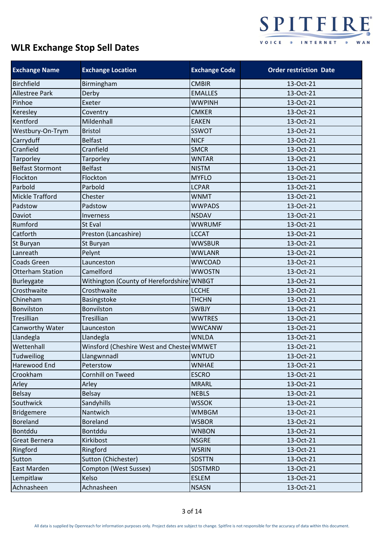

| <b>Exchange Name</b>    | <b>Exchange Location</b>                  | <b>Exchange Code</b> | <b>Order restriction Date</b> |
|-------------------------|-------------------------------------------|----------------------|-------------------------------|
| <b>Birchfield</b>       | Birmingham                                | <b>CMBIR</b>         | 13-Oct-21                     |
| Allestree Park          | Derby                                     | <b>EMALLES</b>       | 13-Oct-21                     |
| Pinhoe                  | Exeter                                    | <b>WWPINH</b>        | 13-Oct-21                     |
| Keresley                | Coventry                                  | <b>CMKER</b>         | 13-Oct-21                     |
| Kentford                | Mildenhall                                | <b>EAKEN</b>         | 13-Oct-21                     |
| Westbury-On-Trym        | <b>Bristol</b>                            | <b>SSWOT</b>         | 13-Oct-21                     |
| Carryduff               | <b>Belfast</b>                            | <b>NICF</b>          | 13-Oct-21                     |
| Cranfield               | Cranfield                                 | <b>SMCR</b>          | 13-Oct-21                     |
| Tarporley               | Tarporley                                 | <b>WNTAR</b>         | 13-Oct-21                     |
| <b>Belfast Stormont</b> | <b>Belfast</b>                            | <b>NISTM</b>         | 13-Oct-21                     |
| Flockton                | Flockton                                  | <b>MYFLO</b>         | 13-Oct-21                     |
| Parbold                 | Parbold                                   | <b>LCPAR</b>         | 13-Oct-21                     |
| <b>Mickle Trafford</b>  | Chester                                   | <b>WNMT</b>          | 13-Oct-21                     |
| Padstow                 | Padstow                                   | <b>WWPADS</b>        | 13-Oct-21                     |
| Daviot                  | Inverness                                 | <b>NSDAV</b>         | 13-Oct-21                     |
| Rumford                 | St Eval                                   | <b>WWRUMF</b>        | 13-Oct-21                     |
| Catforth                | Preston (Lancashire)                      | <b>LCCAT</b>         | 13-Oct-21                     |
| St Buryan               | St Buryan                                 | <b>WWSBUR</b>        | 13-Oct-21                     |
| Lanreath                | Pelynt                                    | <b>WWLANR</b>        | 13-Oct-21                     |
| <b>Coads Green</b>      | Launceston                                | <b>WWCOAD</b>        | 13-Oct-21                     |
| <b>Otterham Station</b> | Camelford                                 | <b>WWOSTN</b>        | 13-Oct-21                     |
| Burleygate              | Withington (County of Herefordshire]WNBGT |                      | 13-Oct-21                     |
| Crosthwaite             | Crosthwaite                               | <b>LCCHE</b>         | 13-Oct-21                     |
| Chineham                | Basingstoke                               | <b>THCHN</b>         | 13-Oct-21                     |
| Bonvilston              | Bonvilston                                | <b>SWBJY</b>         | 13-Oct-21                     |
| Tresillian              | Tresillian                                | <b>WWTRES</b>        | 13-Oct-21                     |
| Canworthy Water         | Launceston                                | <b>WWCANW</b>        | 13-Oct-21                     |
| Llandegla               | Llandegla                                 | <b>WNLDA</b>         | 13-Oct-21                     |
| Wettenhall              | Winsford (Cheshire West and Chester WMWET |                      | 13-Oct-21                     |
| <b>Tudweiliog</b>       | Llangwnnadl                               | <b>WNTUD</b>         | 13-Oct-21                     |
| Harewood End            | Peterstow                                 | <b>WNHAE</b>         | 13-Oct-21                     |
| Crookham                | Cornhill on Tweed                         | <b>ESCRO</b>         | 13-Oct-21                     |
| Arley                   | Arley                                     | <b>MRARL</b>         | 13-Oct-21                     |
| <b>Belsay</b>           | <b>Belsay</b>                             | <b>NEBLS</b>         | 13-Oct-21                     |
| Southwick               | Sandyhills                                | <b>WSSOK</b>         | 13-Oct-21                     |
| <b>Bridgemere</b>       | Nantwich                                  | <b>WMBGM</b>         | 13-Oct-21                     |
| <b>Boreland</b>         | <b>Boreland</b>                           | <b>WSBOR</b>         | 13-Oct-21                     |
| Bontddu                 | Bontddu                                   | <b>WNBON</b>         | 13-Oct-21                     |
| <b>Great Bernera</b>    | Kirkibost                                 | <b>NSGRE</b>         | 13-Oct-21                     |
| Ringford                | Ringford                                  | <b>WSRIN</b>         | 13-Oct-21                     |
| Sutton                  | Sutton (Chichester)                       | <b>SDSTTN</b>        | 13-Oct-21                     |
| East Marden             | Compton (West Sussex)                     | SDSTMRD              | 13-Oct-21                     |
| Lempitlaw               | Kelso                                     | <b>ESLEM</b>         | 13-Oct-21                     |
| Achnasheen              | Achnasheen                                | <b>NSASN</b>         | 13-Oct-21                     |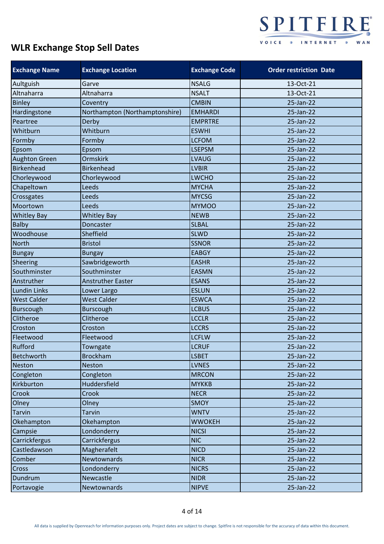

| <b>Exchange Name</b> | <b>Exchange Location</b>       | <b>Exchange Code</b> | <b>Order restriction Date</b> |
|----------------------|--------------------------------|----------------------|-------------------------------|
| Aultguish            | Garve                          | <b>NSALG</b>         | 13-Oct-21                     |
| Altnaharra           | Altnaharra                     | <b>NSALT</b>         | 13-Oct-21                     |
| <b>Binley</b>        | Coventry                       | <b>CMBIN</b>         | 25-Jan-22                     |
| Hardingstone         | Northampton (Northamptonshire) | <b>EMHARDI</b>       | 25-Jan-22                     |
| Peartree             | Derby                          | <b>EMPRTRE</b>       | 25-Jan-22                     |
| Whitburn             | Whitburn                       | <b>ESWHI</b>         | 25-Jan-22                     |
| Formby               | Formby                         | <b>LCFOM</b>         | 25-Jan-22                     |
| Epsom                | Epsom                          | <b>LSEPSM</b>        | 25-Jan-22                     |
| <b>Aughton Green</b> | Ormskirk                       | <b>LVAUG</b>         | 25-Jan-22                     |
| <b>Birkenhead</b>    | <b>Birkenhead</b>              | <b>LVBIR</b>         | 25-Jan-22                     |
| Chorleywood          | Chorleywood                    | <b>LWCHO</b>         | 25-Jan-22                     |
| Chapeltown           | Leeds                          | <b>MYCHA</b>         | 25-Jan-22                     |
| Crossgates           | Leeds                          | <b>MYCSG</b>         | 25-Jan-22                     |
| Moortown             | Leeds                          | <b>MYMOO</b>         | 25-Jan-22                     |
| <b>Whitley Bay</b>   | <b>Whitley Bay</b>             | <b>NEWB</b>          | 25-Jan-22                     |
| <b>Balby</b>         | Doncaster                      | <b>SLBAL</b>         | 25-Jan-22                     |
| Woodhouse            | Sheffield                      | <b>SLWD</b>          | 25-Jan-22                     |
| <b>North</b>         | <b>Bristol</b>                 | <b>SSNOR</b>         | 25-Jan-22                     |
| <b>Bungay</b>        | <b>Bungay</b>                  | <b>EABGY</b>         | 25-Jan-22                     |
| Sheering             | Sawbridgeworth                 | <b>EASHR</b>         | 25-Jan-22                     |
| Southminster         | Southminster                   | <b>EASMN</b>         | 25-Jan-22                     |
| Anstruther           | <b>Anstruther Easter</b>       | <b>ESANS</b>         | 25-Jan-22                     |
| <b>Lundin Links</b>  | Lower Largo                    | <b>ESLUN</b>         | 25-Jan-22                     |
| <b>West Calder</b>   | <b>West Calder</b>             | <b>ESWCA</b>         | 25-Jan-22                     |
| <b>Burscough</b>     | <b>Burscough</b>               | <b>LCBUS</b>         | 25-Jan-22                     |
| Clitheroe            | Clitheroe                      | <b>LCCLR</b>         | 25-Jan-22                     |
| Croston              | Croston                        | <b>LCCRS</b>         | 25-Jan-22                     |
| Fleetwood            | Fleetwood                      | <b>LCFLW</b>         | 25-Jan-22                     |
| Rufford              | Towngate                       | <b>LCRUF</b>         | 25-Jan-22                     |
| <b>Betchworth</b>    | <b>Brockham</b>                | <b>LSBET</b>         | 25-Jan-22                     |
| <b>Neston</b>        | <b>Neston</b>                  | <b>LVNES</b>         | 25-Jan-22                     |
| Congleton            | Congleton                      | <b>MRCON</b>         | 25-Jan-22                     |
| Kirkburton           | Huddersfield                   | <b>MYKKB</b>         | 25-Jan-22                     |
| Crook                | Crook                          | <b>NECR</b>          | 25-Jan-22                     |
| Olney                | Olney                          | SMOY                 | 25-Jan-22                     |
| <b>Tarvin</b>        | <b>Tarvin</b>                  | <b>WNTV</b>          | 25-Jan-22                     |
| Okehampton           | Okehampton                     | <b>WWOKEH</b>        | 25-Jan-22                     |
| Campsie              | Londonderry                    | <b>NICSI</b>         | 25-Jan-22                     |
| Carrickfergus        | Carrickfergus                  | <b>NIC</b>           | 25-Jan-22                     |
| Castledawson         | Magherafelt                    | <b>NICD</b>          | 25-Jan-22                     |
| Comber               | Newtownards                    | <b>NICR</b>          | 25-Jan-22                     |
| Cross                | Londonderry                    | <b>NICRS</b>         | 25-Jan-22                     |
| Dundrum              | Newcastle                      | <b>NIDR</b>          | 25-Jan-22                     |
| Portavogie           | Newtownards                    | <b>NIPVE</b>         | 25-Jan-22                     |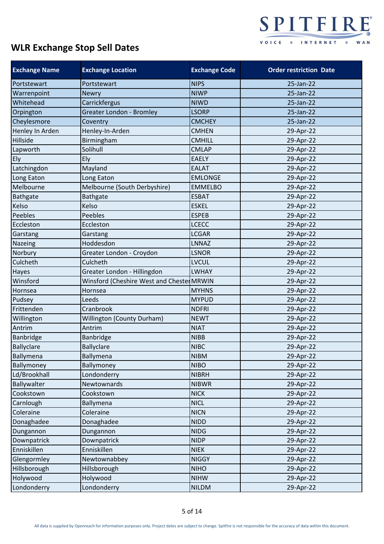

| <b>Exchange Name</b> | <b>Exchange Location</b>                  | <b>Exchange Code</b> | <b>Order restriction Date</b> |
|----------------------|-------------------------------------------|----------------------|-------------------------------|
| Portstewart          | Portstewart                               | <b>NIPS</b>          | 25-Jan-22                     |
| Warrenpoint          | <b>Newry</b>                              | <b>NIWP</b>          | 25-Jan-22                     |
| Whitehead            | Carrickfergus                             | <b>NIWD</b>          | 25-Jan-22                     |
| Orpington            | <b>Greater London - Bromley</b>           | <b>LSORP</b>         | 25-Jan-22                     |
| Cheylesmore          | Coventry                                  | <b>CMCHEY</b>        | 25-Jan-22                     |
| Henley In Arden      | Henley-In-Arden                           | <b>CMHEN</b>         | 29-Apr-22                     |
| Hillside             | Birmingham                                | <b>CMHILL</b>        | 29-Apr-22                     |
| Lapworth             | Solihull                                  | <b>CMLAP</b>         | 29-Apr-22                     |
| Ely                  | Ely                                       | <b>EAELY</b>         | 29-Apr-22                     |
| Latchingdon          | Mayland                                   | <b>EALAT</b>         | 29-Apr-22                     |
| Long Eaton           | Long Eaton                                | <b>EMLONGE</b>       | 29-Apr-22                     |
| Melbourne            | Melbourne (South Derbyshire)              | <b>EMMELBO</b>       | 29-Apr-22                     |
| <b>Bathgate</b>      | <b>Bathgate</b>                           | <b>ESBAT</b>         | 29-Apr-22                     |
| Kelso                | Kelso                                     | <b>ESKEL</b>         | 29-Apr-22                     |
| Peebles              | Peebles                                   | <b>ESPEB</b>         | 29-Apr-22                     |
| Eccleston            | Eccleston                                 | <b>LCECC</b>         | 29-Apr-22                     |
| Garstang             | Garstang                                  | <b>LCGAR</b>         | 29-Apr-22                     |
| Nazeing              | Hoddesdon                                 | LNNAZ                | 29-Apr-22                     |
| Norbury              | Greater London - Croydon                  | <b>LSNOR</b>         | 29-Apr-22                     |
| Culcheth             | Culcheth                                  | <b>LVCUL</b>         | 29-Apr-22                     |
| Hayes                | Greater London - Hillingdon               | <b>LWHAY</b>         | 29-Apr-22                     |
| Winsford             | Winsford (Cheshire West and Chester MRWIN |                      | 29-Apr-22                     |
| Hornsea              | Hornsea                                   | <b>MYHNS</b>         | 29-Apr-22                     |
| Pudsey               | Leeds                                     | <b>MYPUD</b>         | 29-Apr-22                     |
| Frittenden           | Cranbrook                                 | <b>NDFRI</b>         | 29-Apr-22                     |
| Willington           | Willington (County Durham)                | <b>NEWT</b>          | 29-Apr-22                     |
| Antrim               | Antrim                                    | <b>NIAT</b>          | 29-Apr-22                     |
| Banbridge            | <b>Banbridge</b>                          | <b>NIBB</b>          | 29-Apr-22                     |
| <b>Ballyclare</b>    | <b>Ballyclare</b>                         | <b>NIBC</b>          | 29-Apr-22                     |
| Ballymena            | Ballymena                                 | <b>NIBM</b>          | 29-Apr-22                     |
| Ballymoney           | Ballymoney                                | <b>NIBO</b>          | 29-Apr-22                     |
| Ld/Brookhall         | Londonderry                               | <b>NIBRH</b>         | 29-Apr-22                     |
| Ballywalter          | Newtownards                               | <b>NIBWR</b>         | 29-Apr-22                     |
| Cookstown            | Cookstown                                 | <b>NICK</b>          | 29-Apr-22                     |
| Carnlough            | Ballymena                                 | <b>NICL</b>          | 29-Apr-22                     |
| Coleraine            | Coleraine                                 | <b>NICN</b>          | 29-Apr-22                     |
| Donaghadee           | Donaghadee                                | <b>NIDD</b>          | 29-Apr-22                     |
| Dungannon            | Dungannon                                 | <b>NIDG</b>          | 29-Apr-22                     |
| Downpatrick          | Downpatrick                               | <b>NIDP</b>          | 29-Apr-22                     |
| Enniskillen          | Enniskillen                               | <b>NIEK</b>          | 29-Apr-22                     |
| Glengormley          | Newtownabbey                              | <b>NIGGY</b>         | 29-Apr-22                     |
| Hillsborough         | Hillsborough                              | <b>NIHO</b>          | 29-Apr-22                     |
| Holywood             | Holywood                                  | <b>NIHW</b>          | 29-Apr-22                     |
| Londonderry          | Londonderry                               | <b>NILDM</b>         | 29-Apr-22                     |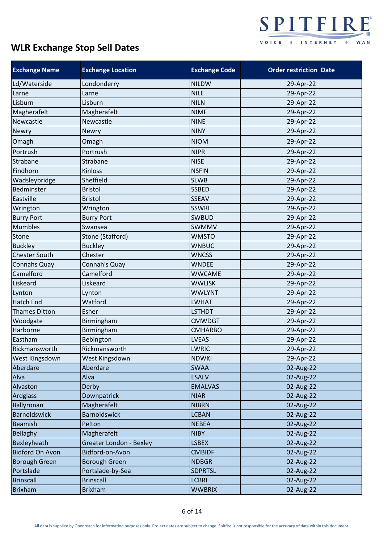

| <b>Exchange Name</b>   | <b>Exchange Location</b>       | <b>Exchange Code</b> | <b>Order restriction Date</b> |
|------------------------|--------------------------------|----------------------|-------------------------------|
| Ld/Waterside           | Londonderry                    | <b>NILDW</b>         | 29-Apr-22                     |
| Larne                  | Larne                          | <b>NILE</b>          | 29-Apr-22                     |
| Lisburn                | Lisburn                        | <b>NILN</b>          | 29-Apr-22                     |
| Magherafelt            | Magherafelt                    | <b>NIMF</b>          | 29-Apr-22                     |
| Newcastle              | Newcastle                      | <b>NINE</b>          | 29-Apr-22                     |
| <b>Newry</b>           | Newry                          | <b>NINY</b>          | 29-Apr-22                     |
| Omagh                  | Omagh                          | <b>NIOM</b>          | 29-Apr-22                     |
| Portrush               | Portrush                       | <b>NIPR</b>          | 29-Apr-22                     |
| Strabane               | Strabane                       | <b>NISE</b>          | 29-Apr-22                     |
| Findhorn               | Kinloss                        | <b>NSFIN</b>         | 29-Apr-22                     |
| Wadsleybridge          | Sheffield                      | <b>SLWB</b>          | 29-Apr-22                     |
| Bedminster             | <b>Bristol</b>                 | <b>SSBED</b>         | 29-Apr-22                     |
| Eastville              | <b>Bristol</b>                 | <b>SSEAV</b>         | 29-Apr-22                     |
| Wrington               | Wrington                       | <b>SSWRI</b>         | 29-Apr-22                     |
| <b>Burry Port</b>      | <b>Burry Port</b>              | <b>SWBUD</b>         | 29-Apr-22                     |
| <b>Mumbles</b>         | Swansea                        | SWMMV                | 29-Apr-22                     |
| Stone                  | Stone (Stafford)               | <b>WMSTO</b>         | 29-Apr-22                     |
| <b>Buckley</b>         | <b>Buckley</b>                 | <b>WNBUC</b>         | 29-Apr-22                     |
| <b>Chester South</b>   | Chester                        | <b>WNCSS</b>         | 29-Apr-22                     |
| Connahs Quay           | Connah's Quay                  | <b>WNDEE</b>         | 29-Apr-22                     |
| Camelford              | Camelford                      | <b>WWCAME</b>        | 29-Apr-22                     |
| Liskeard               | Liskeard                       | <b>WWLISK</b>        | 29-Apr-22                     |
| Lynton                 | Lynton                         | <b>WWLYNT</b>        | 29-Apr-22                     |
| <b>Hatch End</b>       | Watford                        | <b>LWHAT</b>         | 29-Apr-22                     |
| <b>Thames Ditton</b>   | Esher                          | <b>LSTHDT</b>        | 29-Apr-22                     |
| Woodgate               | Birmingham                     | <b>CMWDGT</b>        | 29-Apr-22                     |
| Harborne               | Birmingham                     | <b>CMHARBO</b>       | 29-Apr-22                     |
| Eastham                | Bebington                      | <b>LVEAS</b>         | 29-Apr-22                     |
| Rickmansworth          | Rickmansworth                  | <b>LWRIC</b>         | 29-Apr-22                     |
| West Kingsdown         | West Kingsdown                 | <b>NDWKI</b>         | 29-Apr-22                     |
| Aberdare               | Aberdare                       | <b>SWAA</b>          | 02-Aug-22                     |
| Alva                   | Alva                           | <b>ESALV</b>         | 02-Aug-22                     |
| Alvaston               | Derby                          | <b>EMALVAS</b>       | 02-Aug-22                     |
| <b>Ardglass</b>        | Downpatrick                    | <b>NIAR</b>          | 02-Aug-22                     |
| Ballyronan             | Magherafelt                    | <b>NIBRN</b>         | 02-Aug-22                     |
| <b>Barnoldswick</b>    | <b>Barnoldswick</b>            | <b>LCBAN</b>         | 02-Aug-22                     |
| <b>Beamish</b>         | Pelton                         | <b>NEBEA</b>         | 02-Aug-22                     |
| Bellaghy               | Magherafelt                    | <b>NIBY</b>          | 02-Aug-22                     |
| Bexleyheath            | <b>Greater London - Bexley</b> | <b>LSBEX</b>         | 02-Aug-22                     |
| <b>Bidford On Avon</b> | Bidford-on-Avon                | <b>CMBIDF</b>        | 02-Aug-22                     |
| <b>Borough Green</b>   | <b>Borough Green</b>           | <b>NDBGR</b>         | 02-Aug-22                     |
| Portslade              | Portslade-by-Sea               | <b>SDPRTSL</b>       | 02-Aug-22                     |
| <b>Brinscall</b>       | <b>Brinscall</b>               | <b>LCBRI</b>         | 02-Aug-22                     |
| <b>Brixham</b>         | <b>Brixham</b>                 | <b>WWBRIX</b>        | 02-Aug-22                     |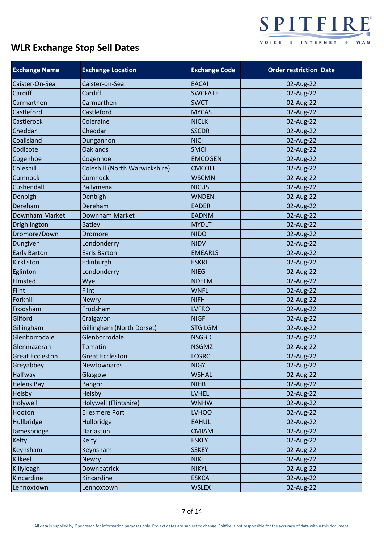

| <b>Exchange Name</b>   | <b>Exchange Location</b>       | <b>Exchange Code</b> | <b>Order restriction Date</b> |
|------------------------|--------------------------------|----------------------|-------------------------------|
| Caister-On-Sea         | Caister-on-Sea                 | <b>EACAI</b>         | 02-Aug-22                     |
| Cardiff                | Cardiff                        | <b>SWCFATE</b>       | 02-Aug-22                     |
| Carmarthen             | Carmarthen                     | <b>SWCT</b>          | 02-Aug-22                     |
| Castleford             | Castleford                     | <b>MYCAS</b>         | 02-Aug-22                     |
| Castlerock             | Coleraine                      | <b>NICLK</b>         | 02-Aug-22                     |
| Cheddar                | Cheddar                        | <b>SSCDR</b>         | 02-Aug-22                     |
| Coalisland             | Dungannon                      | <b>NICI</b>          | 02-Aug-22                     |
| Codicote               | <b>Oaklands</b>                | <b>SMCI</b>          | 02-Aug-22                     |
| Cogenhoe               | Cogenhoe                       | <b>EMCOGEN</b>       | 02-Aug-22                     |
| Coleshill              | Coleshill (North Warwickshire) | <b>CMCOLE</b>        | 02-Aug-22                     |
| Cumnock                | Cumnock                        | <b>WSCMN</b>         | 02-Aug-22                     |
| Cushendall             | <b>Ballymena</b>               | <b>NICUS</b>         | 02-Aug-22                     |
| Denbigh                | Denbigh                        | <b>WNDEN</b>         | 02-Aug-22                     |
| Dereham                | Dereham                        | <b>EADER</b>         | 02-Aug-22                     |
| Downham Market         | Downham Market                 | <b>EADNM</b>         | 02-Aug-22                     |
| Drighlington           | <b>Batley</b>                  | <b>MYDLT</b>         | 02-Aug-22                     |
| Dromore/Down           | Dromore                        | <b>NIDO</b>          | 02-Aug-22                     |
| Dungiven               | Londonderry                    | <b>NIDV</b>          | 02-Aug-22                     |
| Earls Barton           | <b>Earls Barton</b>            | <b>EMEARLS</b>       | 02-Aug-22                     |
| Kirkliston             | Edinburgh                      | <b>ESKRL</b>         | 02-Aug-22                     |
| Eglinton               | Londonderry                    | <b>NIEG</b>          | 02-Aug-22                     |
| Elmsted                | Wye                            | <b>NDELM</b>         | 02-Aug-22                     |
| Flint                  | Flint                          | <b>WNFL</b>          | 02-Aug-22                     |
| Forkhill               | <b>Newry</b>                   | <b>NIFH</b>          | 02-Aug-22                     |
| Frodsham               | Frodsham                       | <b>LVFRO</b>         | 02-Aug-22                     |
| Gilford                | Craigavon                      | <b>NIGF</b>          | 02-Aug-22                     |
| Gillingham             | Gillingham (North Dorset)      | <b>STGILGM</b>       | 02-Aug-22                     |
| Glenborrodale          | Glenborrodale                  | <b>NSGBD</b>         | 02-Aug-22                     |
| Glenmazeran            | <b>Tomatin</b>                 | <b>NSGMZ</b>         | 02-Aug-22                     |
| <b>Great Eccleston</b> | <b>Great Eccleston</b>         | <b>LCGRC</b>         | 02-Aug-22                     |
| Greyabbey              | Newtownards                    | <b>NIGY</b>          | 02-Aug-22                     |
| <b>Halfway</b>         | Glasgow                        | <b>WSHAL</b>         | 02-Aug-22                     |
| <b>Helens Bay</b>      | <b>Bangor</b>                  | <b>NIHB</b>          | 02-Aug-22                     |
| Helsby                 | Helsby                         | <b>LVHEL</b>         | 02-Aug-22                     |
| Holywell               | Holywell (Flintshire)          | <b>WNHW</b>          | 02-Aug-22                     |
| Hooton                 | <b>Ellesmere Port</b>          | <b>LVHOO</b>         | 02-Aug-22                     |
| Hullbridge             | Hullbridge                     | <b>EAHUL</b>         | 02-Aug-22                     |
| Jamesbridge            | Darlaston                      | <b>CMJAM</b>         | 02-Aug-22                     |
| Kelty                  | <b>Kelty</b>                   | <b>ESKLY</b>         | 02-Aug-22                     |
| Keynsham               | Keynsham                       | <b>SSKEY</b>         | 02-Aug-22                     |
| Kilkeel                | <b>Newry</b>                   | <b>NIKI</b>          | 02-Aug-22                     |
| Killyleagh             | Downpatrick                    | <b>NIKYL</b>         | 02-Aug-22                     |
| Kincardine             | Kincardine                     | <b>ESKCA</b>         | 02-Aug-22                     |
| Lennoxtown             | Lennoxtown                     | <b>WSLEX</b>         | 02-Aug-22                     |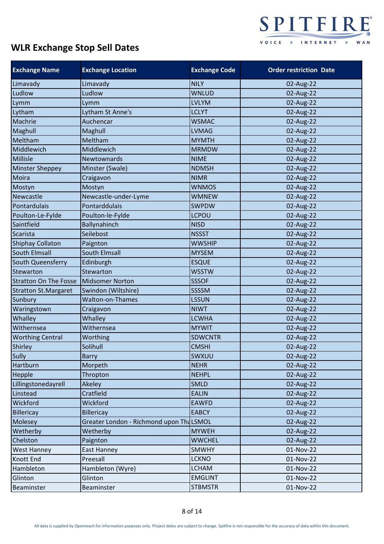

| <b>Exchange Name</b>         | <b>Exchange Location</b>                | <b>Exchange Code</b> | <b>Order restriction Date</b> |
|------------------------------|-----------------------------------------|----------------------|-------------------------------|
| Limavady                     | Limavady                                | <b>NILY</b>          | 02-Aug-22                     |
| Ludlow                       | Ludlow                                  | <b>WNLUD</b>         | 02-Aug-22                     |
| Lymm                         | Lymm                                    | <b>LVLYM</b>         | 02-Aug-22                     |
| Lytham                       | Lytham St Anne's                        | <b>LCLYT</b>         | 02-Aug-22                     |
| Machrie                      | Auchencar                               | <b>WSMAC</b>         | 02-Aug-22                     |
| Maghull                      | Maghull                                 | <b>LVMAG</b>         | 02-Aug-22                     |
| Meltham                      | Meltham                                 | <b>MYMTH</b>         | 02-Aug-22                     |
| Middlewich                   | Middlewich                              | <b>MRMDW</b>         | 02-Aug-22                     |
| <b>Millisle</b>              | Newtownards                             | <b>NIME</b>          | 02-Aug-22                     |
| <b>Minster Sheppey</b>       | Minster (Swale)                         | <b>NDMSH</b>         | 02-Aug-22                     |
| Moira                        | Craigavon                               | <b>NIMR</b>          | 02-Aug-22                     |
| Mostyn                       | Mostyn                                  | <b>WNMOS</b>         | 02-Aug-22                     |
| Newcastle                    | Newcastle-under-Lyme                    | <b>WMNEW</b>         | 02-Aug-22                     |
| Pontardulais                 | Pontarddulais                           | <b>SWPDW</b>         | 02-Aug-22                     |
| Poulton-Le-Fylde             | Poulton-le-Fylde                        | <b>LCPOU</b>         | 02-Aug-22                     |
| Saintfield                   | Ballynahinch                            | <b>NISD</b>          | 02-Aug-22                     |
| <b>Scarista</b>              | Seilebost                               | <b>NSSST</b>         | 02-Aug-22                     |
| <b>Shiphay Collaton</b>      | Paignton                                | <b>WWSHIP</b>        | 02-Aug-22                     |
| South Elmsall                | <b>South Elmsall</b>                    | <b>MYSEM</b>         | 02-Aug-22                     |
| South Queensferry            | Edinburgh                               | <b>ESQUE</b>         | 02-Aug-22                     |
| <b>Stewarton</b>             | Stewarton                               | <b>WSSTW</b>         | 02-Aug-22                     |
| <b>Stratton On The Fosse</b> | <b>Midsomer Norton</b>                  | <b>SSSOF</b>         | 02-Aug-22                     |
| <b>Stratton St.Margaret</b>  | Swindon (Wiltshire)                     | SSSSM                | 02-Aug-22                     |
| Sunbury                      | <b>Walton-on-Thames</b>                 | <b>LSSUN</b>         | 02-Aug-22                     |
| Waringstown                  | Craigavon                               | <b>NIWT</b>          | 02-Aug-22                     |
| Whalley                      | Whalley                                 | <b>LCWHA</b>         | 02-Aug-22                     |
| Withernsea                   | Withernsea                              | <b>MYWIT</b>         | 02-Aug-22                     |
| <b>Worthing Central</b>      | Worthing                                | <b>SDWCNTR</b>       | 02-Aug-22                     |
| Shirley                      | Solihull                                | <b>CMSHI</b>         | 02-Aug-22                     |
| Sully                        | <b>Barry</b>                            | SWXUU                | 02-Aug-22                     |
| Hartburn                     | Morpeth                                 | <b>NEHR</b>          | 02-Aug-22                     |
| Hepple                       | Thropton                                | <b>NEHPL</b>         | 02-Aug-22                     |
| Lillingstonedayrell          | Akeley                                  | <b>SMLD</b>          | 02-Aug-22                     |
| Linstead                     | Cratfield                               | <b>EALIN</b>         | 02-Aug-22                     |
| Wickford                     | Wickford                                | <b>EAWFD</b>         | 02-Aug-22                     |
| <b>Billericay</b>            | <b>Billericay</b>                       | <b>EABCY</b>         | 02-Aug-22                     |
| <b>Molesey</b>               | Greater London - Richmond upon ThaLSMOL |                      | 02-Aug-22                     |
| Wetherby                     | Wetherby                                | <b>MYWEH</b>         | 02-Aug-22                     |
| Chelston                     | Paignton                                | <b>WWCHEL</b>        | 02-Aug-22                     |
| West Hanney                  | East Hanney                             | <b>SMWHY</b>         | 01-Nov-22                     |
| Knott End                    | Preesall                                | <b>LCKNO</b>         | 01-Nov-22                     |
| Hambleton                    | Hambleton (Wyre)                        | <b>LCHAM</b>         | 01-Nov-22                     |
| Glinton                      | Glinton                                 | <b>EMGLINT</b>       | 01-Nov-22                     |
| Beaminster                   | Beaminster                              | <b>STBMSTR</b>       | 01-Nov-22                     |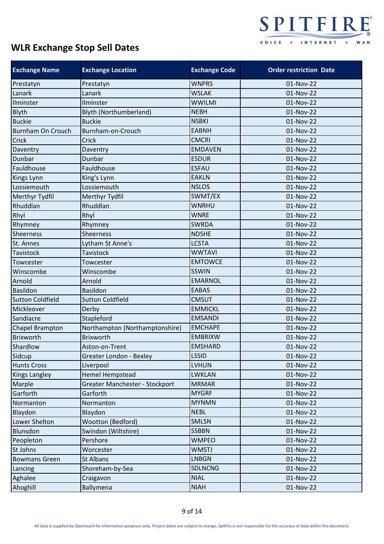

| <b>Exchange Name</b>     | <b>Exchange Location</b>       | <b>Exchange Code</b> | <b>Order restriction Date</b> |
|--------------------------|--------------------------------|----------------------|-------------------------------|
| Prestatyn                | Prestatyn                      | <b>WNPRS</b>         | 01-Nov-22                     |
| Lanark                   | Lanark                         | <b>WSLAK</b>         | 01-Nov-22                     |
| Ilminster                | Ilminster                      | <b>WWILMI</b>        | 01-Nov-22                     |
| Blyth                    | Blyth (Northumberland)         | <b>NEBH</b>          | 01-Nov-22                     |
| <b>Buckie</b>            | <b>Buckie</b>                  | <b>NSBKI</b>         | 01-Nov-22                     |
| <b>Burnham On Crouch</b> | Burnham-on-Crouch              | <b>EABNH</b>         | 01-Nov-22                     |
| Crick                    | Crick                          | <b>CMCRI</b>         | 01-Nov-22                     |
| Daventry                 | Daventry                       | <b>EMDAVEN</b>       | 01-Nov-22                     |
| Dunbar                   | Dunbar                         | <b>ESDUR</b>         | 01-Nov-22                     |
| Fauldhouse               | Fauldhouse                     | <b>ESFAU</b>         | 01-Nov-22                     |
| Kings Lynn               | King's Lynn                    | <b>EAKLN</b>         | 01-Nov-22                     |
| Lossiemouth              | Lossiemouth                    | <b>NSLOS</b>         | 01-Nov-22                     |
| Merthyr Tydfil           | Merthyr Tydfil                 | SWMT/EX              | 01-Nov-22                     |
| Rhuddlan                 | Rhuddlan                       | <b>WNRHU</b>         | 01-Nov-22                     |
| Rhyl                     | Rhyl                           | <b>WNRE</b>          | 01-Nov-22                     |
| Rhymney                  | Rhymney                        | <b>SWRDA</b>         | 01-Nov-22                     |
| <b>Sheerness</b>         | Sheerness                      | <b>NDSHE</b>         | 01-Nov-22                     |
| St. Annes                | Lytham St Anne's               | <b>LCSTA</b>         | 01-Nov-22                     |
| Tavistock                | Tavistock                      | <b>WWTAVI</b>        | 01-Nov-22                     |
| Towcester                | Towcester                      | <b>EMTOWCE</b>       | 01-Nov-22                     |
| Winscombe                | Winscombe                      | <b>SSWIN</b>         | 01-Nov-22                     |
| Arnold                   | Arnold                         | <b>EMARNOL</b>       | 01-Nov-22                     |
| <b>Basildon</b>          | <b>Basildon</b>                | <b>EABAS</b>         | 01-Nov-22                     |
| <b>Sutton Coldfield</b>  | <b>Sutton Coldfield</b>        | <b>CMSUT</b>         | 01-Nov-22                     |
| Mickleover               | Derby                          | <b>EMMICKL</b>       | 01-Nov-22                     |
| Sandiacre                | Stapleford                     | <b>EMSANDI</b>       | 01-Nov-22                     |
| Chapel Brampton          | Northampton (Northamptonshire) | <b>EMCHAPE</b>       | 01-Nov-22                     |
| <b>Brixworth</b>         | <b>Brixworth</b>               | <b>EMBRIXW</b>       | 01-Nov-22                     |
| Shardlow                 | Aston-on-Trent                 | <b>EMSHARD</b>       | 01-Nov-22                     |
| Sidcup                   | Greater London - Bexley        | <b>LSSID</b>         | 01-Nov-22                     |
| <b>Hunts Cross</b>       | Liverpool                      | <b>LVHUN</b>         | 01-Nov-22                     |
| <b>Kings Langley</b>     | <b>Hemel Hempstead</b>         | <b>LWKLAN</b>        | 01-Nov-22                     |
| Marple                   | Greater Manchester - Stockport | <b>MRMAR</b>         | 01-Nov-22                     |
| Garforth                 | Garforth                       | <b>MYGRF</b>         | 01-Nov-22                     |
| Normanton                | Normanton                      | <b>MYNMN</b>         | 01-Nov-22                     |
| Blaydon                  | Blaydon                        | <b>NEBL</b>          | 01-Nov-22                     |
| Lower Shelton            | Wootton (Bedford)              | <b>SMLSN</b>         | 01-Nov-22                     |
| <b>Blunsdon</b>          | Swindon (Wiltshire)            | <b>SSBBN</b>         | 01-Nov-22                     |
| Peopleton                | Pershore                       | <b>WMPEO</b>         | 01-Nov-22                     |
| St Johns                 | Worcester                      | <b>WMSTJ</b>         | 01-Nov-22                     |
| <b>Bowmans Green</b>     | St Albans                      | <b>LNBGN</b>         | 01-Nov-22                     |
| Lancing                  | Shoreham-by-Sea                | <b>SDLNCNG</b>       | 01-Nov-22                     |
| Aghalee                  | Craigavon                      | <b>NIAL</b>          | 01-Nov-22                     |
| Ahoghill                 | Ballymena                      | <b>NIAH</b>          | 01-Nov-22                     |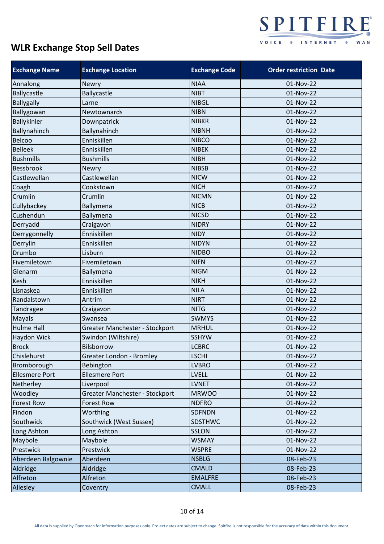

| <b>Exchange Name</b>  | <b>Exchange Location</b>       | <b>Exchange Code</b> | <b>Order restriction Date</b> |
|-----------------------|--------------------------------|----------------------|-------------------------------|
| Annalong              | <b>Newry</b>                   | <b>NIAA</b>          | 01-Nov-22                     |
| <b>Ballycastle</b>    | <b>Ballycastle</b>             | <b>NIBT</b>          | 01-Nov-22                     |
| <b>Ballygally</b>     | Larne                          | <b>NIBGL</b>         | 01-Nov-22                     |
| Ballygowan            | Newtownards                    | <b>NIBN</b>          | 01-Nov-22                     |
| Ballykinler           | Downpatrick                    | <b>NIBKR</b>         | 01-Nov-22                     |
| Ballynahinch          | Ballynahinch                   | <b>NIBNH</b>         | 01-Nov-22                     |
| Belcoo                | Enniskillen                    | <b>NIBCO</b>         | 01-Nov-22                     |
| <b>Belleek</b>        | Enniskillen                    | <b>NIBEK</b>         | 01-Nov-22                     |
| <b>Bushmills</b>      | <b>Bushmills</b>               | <b>NIBH</b>          | 01-Nov-22                     |
| <b>Bessbrook</b>      | Newry                          | <b>NIBSB</b>         | 01-Nov-22                     |
| Castlewellan          | Castlewellan                   | <b>NICW</b>          | 01-Nov-22                     |
| Coagh                 | Cookstown                      | <b>NICH</b>          | 01-Nov-22                     |
| Crumlin               | Crumlin                        | <b>NICMN</b>         | 01-Nov-22                     |
| Cullybackey           | Ballymena                      | <b>NICB</b>          | 01-Nov-22                     |
| Cushendun             | Ballymena                      | <b>NICSD</b>         | 01-Nov-22                     |
| Derryadd              | Craigavon                      | <b>NIDRY</b>         | 01-Nov-22                     |
| Derrygonnelly         | Enniskillen                    | <b>NIDY</b>          | 01-Nov-22                     |
| Derrylin              | Enniskillen                    | <b>NIDYN</b>         | 01-Nov-22                     |
| Drumbo                | Lisburn                        | <b>NIDBO</b>         | 01-Nov-22                     |
| Fivemiletown          | Fivemiletown                   | <b>NIFN</b>          | 01-Nov-22                     |
| Glenarm               | Ballymena                      | <b>NIGM</b>          | 01-Nov-22                     |
| Kesh                  | Enniskillen                    | <b>NIKH</b>          | 01-Nov-22                     |
| Lisnaskea             | Enniskillen                    | <b>NILA</b>          | 01-Nov-22                     |
| Randalstown           | Antrim                         | <b>NIRT</b>          | 01-Nov-22                     |
| Tandragee             | Craigavon                      | <b>NITG</b>          | 01-Nov-22                     |
| Mayals                | Swansea                        | <b>SWMYS</b>         | 01-Nov-22                     |
| Hulme Hall            | Greater Manchester - Stockport | <b>MRHUL</b>         | 01-Nov-22                     |
| <b>Haydon Wick</b>    | Swindon (Wiltshire)            | <b>SSHYW</b>         | 01-Nov-22                     |
| <b>Brock</b>          | Bilsborrow                     | <b>LCBRC</b>         | 01-Nov-22                     |
| Chislehurst           | Greater London - Bromley       | <b>LSCHI</b>         | 01-Nov-22                     |
| Bromborough           | Bebington                      | <b>LVBRO</b>         | 01-Nov-22                     |
| <b>Ellesmere Port</b> | <b>Ellesmere Port</b>          | <b>LVELL</b>         | 01-Nov-22                     |
| Netherley             | Liverpool                      | <b>LVNET</b>         | 01-Nov-22                     |
| Woodley               | Greater Manchester - Stockport | <b>MRWOO</b>         | 01-Nov-22                     |
| <b>Forest Row</b>     | <b>Forest Row</b>              | <b>NDFRO</b>         | 01-Nov-22                     |
| Findon                | Worthing                       | <b>SDFNDN</b>        | 01-Nov-22                     |
| Southwick             | Southwick (West Sussex)        | <b>SDSTHWC</b>       | 01-Nov-22                     |
| Long Ashton           | Long Ashton                    | <b>SSLON</b>         | 01-Nov-22                     |
| Maybole               | Maybole                        | <b>WSMAY</b>         | 01-Nov-22                     |
| Prestwick             | Prestwick                      | <b>WSPRE</b>         | 01-Nov-22                     |
| Aberdeen Balgownie    | Aberdeen                       | <b>NSBLG</b>         | 08-Feb-23                     |
| Aldridge              | Aldridge                       | <b>CMALD</b>         | 08-Feb-23                     |
| Alfreton              | Alfreton                       | <b>EMALFRE</b>       | 08-Feb-23                     |
| Allesley              | Coventry                       | <b>CMALL</b>         | 08-Feb-23                     |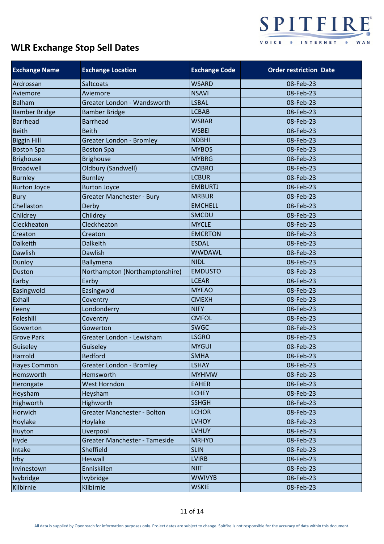

| <b>Exchange Name</b> | <b>Exchange Location</b>        | <b>Exchange Code</b> | <b>Order restriction Date</b> |
|----------------------|---------------------------------|----------------------|-------------------------------|
| Ardrossan            | <b>Saltcoats</b>                | <b>WSARD</b>         | 08-Feb-23                     |
| Aviemore             | Aviemore                        | <b>NSAVI</b>         | 08-Feb-23                     |
| <b>Balham</b>        | Greater London - Wandsworth     | LSBAL                | 08-Feb-23                     |
| <b>Bamber Bridge</b> | <b>Bamber Bridge</b>            | <b>LCBAB</b>         | 08-Feb-23                     |
| <b>Barrhead</b>      | <b>Barrhead</b>                 | <b>WSBAR</b>         | 08-Feb-23                     |
| <b>Beith</b>         | <b>Beith</b>                    | <b>WSBEI</b>         | 08-Feb-23                     |
| <b>Biggin Hill</b>   | Greater London - Bromley        | <b>NDBHI</b>         | 08-Feb-23                     |
| <b>Boston Spa</b>    | <b>Boston Spa</b>               | <b>MYBOS</b>         | 08-Feb-23                     |
| <b>Brighouse</b>     | <b>Brighouse</b>                | <b>MYBRG</b>         | 08-Feb-23                     |
| <b>Broadwell</b>     | Oldbury (Sandwell)              | <b>CMBRO</b>         | 08-Feb-23                     |
| <b>Burnley</b>       | <b>Burnley</b>                  | <b>LCBUR</b>         | 08-Feb-23                     |
| <b>Burton Joyce</b>  | <b>Burton Joyce</b>             | <b>EMBURTJ</b>       | 08-Feb-23                     |
| <b>Bury</b>          | Greater Manchester - Bury       | <b>MRBUR</b>         | 08-Feb-23                     |
| Chellaston           | Derby                           | <b>EMCHELL</b>       | 08-Feb-23                     |
| Childrey             | Childrey                        | <b>SMCDU</b>         | 08-Feb-23                     |
| Cleckheaton          | Cleckheaton                     | <b>MYCLE</b>         | 08-Feb-23                     |
| Creaton              | Creaton                         | <b>EMCRTON</b>       | 08-Feb-23                     |
| <b>Dalkeith</b>      | <b>Dalkeith</b>                 | <b>ESDAL</b>         | 08-Feb-23                     |
| <b>Dawlish</b>       | Dawlish                         | <b>WWDAWL</b>        | 08-Feb-23                     |
| Dunloy               | <b>Ballymena</b>                | <b>NIDL</b>          | 08-Feb-23                     |
| <b>Duston</b>        | Northampton (Northamptonshire)  | <b>EMDUSTO</b>       | 08-Feb-23                     |
| Earby                | Earby                           | <b>LCEAR</b>         | 08-Feb-23                     |
| Easingwold           | Easingwold                      | <b>MYEAO</b>         | 08-Feb-23                     |
| Exhall               | Coventry                        | <b>CMEXH</b>         | 08-Feb-23                     |
| Feeny                | Londonderry                     | <b>NIFY</b>          | 08-Feb-23                     |
| Foleshill            | Coventry                        | <b>CMFOL</b>         | 08-Feb-23                     |
| Gowerton             | Gowerton                        | <b>SWGC</b>          | 08-Feb-23                     |
| <b>Grove Park</b>    | Greater London - Lewisham       | <b>LSGRO</b>         | 08-Feb-23                     |
| Guiseley             | Guiseley                        | <b>MYGUI</b>         | 08-Feb-23                     |
| Harrold              | <b>Bedford</b>                  | <b>SMHA</b>          | 08-Feb-23                     |
| <b>Hayes Common</b>  | <b>Greater London - Bromley</b> | <b>LSHAY</b>         | 08-Feb-23                     |
| Hemsworth            | Hemsworth                       | <b>MYHMW</b>         | 08-Feb-23                     |
| Herongate            | <b>West Horndon</b>             | <b>EAHER</b>         | 08-Feb-23                     |
| Heysham              | Heysham                         | <b>LCHEY</b>         | 08-Feb-23                     |
| Highworth            | Highworth                       | <b>SSHGH</b>         | 08-Feb-23                     |
| Horwich              | Greater Manchester - Bolton     | <b>LCHOR</b>         | 08-Feb-23                     |
| Hoylake              | Hoylake                         | <b>LVHOY</b>         | 08-Feb-23                     |
| Huyton               | Liverpool                       | <b>LVHUY</b>         | 08-Feb-23                     |
| Hyde                 | Greater Manchester - Tameside   | <b>MRHYD</b>         | 08-Feb-23                     |
| Intake               | Sheffield                       | <b>SLIN</b>          | 08-Feb-23                     |
| Irby                 | <b>Heswall</b>                  | <b>LVIRB</b>         | 08-Feb-23                     |
| Irvinestown          | Enniskillen                     | <b>NIIT</b>          | 08-Feb-23                     |
| Ivybridge            | <b>Ivybridge</b>                | <b>WWIVYB</b>        | 08-Feb-23                     |
| Kilbirnie            | Kilbirnie                       | <b>WSKIE</b>         | 08-Feb-23                     |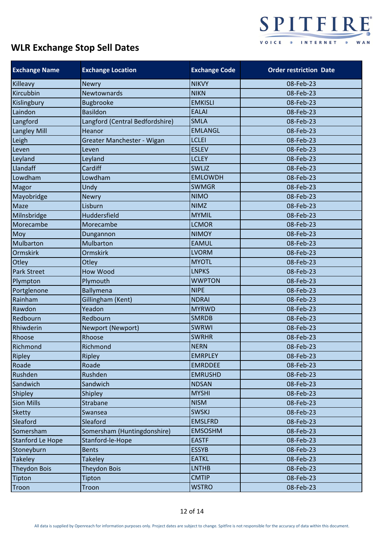

| <b>Exchange Name</b> | <b>Exchange Location</b>        | <b>Exchange Code</b> | <b>Order restriction Date</b> |
|----------------------|---------------------------------|----------------------|-------------------------------|
| Killeavy             | <b>Newry</b>                    | <b>NIKVY</b>         | 08-Feb-23                     |
| Kircubbin            | <b>Newtownards</b>              | <b>NIKN</b>          | 08-Feb-23                     |
| Kislingbury          | <b>Bugbrooke</b>                | <b>EMKISLI</b>       | 08-Feb-23                     |
| Laindon              | <b>Basildon</b>                 | <b>EALAI</b>         | 08-Feb-23                     |
| Langford             | Langford (Central Bedfordshire) | <b>SMLA</b>          | 08-Feb-23                     |
| Langley Mill         | Heanor                          | <b>EMLANGL</b>       | 08-Feb-23                     |
| Leigh                | Greater Manchester - Wigan      | <b>LCLEI</b>         | 08-Feb-23                     |
| Leven                | Leven                           | <b>ESLEV</b>         | 08-Feb-23                     |
| Leyland              | Leyland                         | <b>LCLEY</b>         | 08-Feb-23                     |
| Llandaff             | Cardiff                         | SWLJZ                | 08-Feb-23                     |
| Lowdham              | Lowdham                         | <b>EMLOWDH</b>       | 08-Feb-23                     |
| Magor                | Undy                            | <b>SWMGR</b>         | 08-Feb-23                     |
| Mayobridge           | <b>Newry</b>                    | <b>NIMO</b>          | 08-Feb-23                     |
| Maze                 | Lisburn                         | <b>NIMZ</b>          | 08-Feb-23                     |
| Milnsbridge          | Huddersfield                    | <b>MYMIL</b>         | 08-Feb-23                     |
| Morecambe            | Morecambe                       | <b>LCMOR</b>         | 08-Feb-23                     |
| Moy                  | Dungannon                       | <b>NIMOY</b>         | 08-Feb-23                     |
| Mulbarton            | Mulbarton                       | <b>EAMUL</b>         | 08-Feb-23                     |
| <b>Ormskirk</b>      | <b>Ormskirk</b>                 | <b>LVORM</b>         | 08-Feb-23                     |
| Otley                | Otley                           | <b>MYOTL</b>         | 08-Feb-23                     |
| <b>Park Street</b>   | <b>How Wood</b>                 | <b>LNPKS</b>         | 08-Feb-23                     |
| Plympton             | Plymouth                        | <b>WWPTON</b>        | 08-Feb-23                     |
| Portglenone          | Ballymena                       | <b>NIPE</b>          | 08-Feb-23                     |
| Rainham              | Gillingham (Kent)               | <b>NDRAI</b>         | 08-Feb-23                     |
| Rawdon               | Yeadon                          | <b>MYRWD</b>         | 08-Feb-23                     |
| Redbourn             | Redbourn                        | <b>SMRDB</b>         | 08-Feb-23                     |
| Rhiwderin            | Newport (Newport)               | <b>SWRWI</b>         | 08-Feb-23                     |
| Rhoose               | Rhoose                          | <b>SWRHR</b>         | 08-Feb-23                     |
| Richmond             | Richmond                        | <b>NERN</b>          | 08-Feb-23                     |
| Ripley               | Ripley                          | <b>EMRPLEY</b>       | 08-Feb-23                     |
| Roade                | Roade                           | <b>EMRDDEE</b>       | 08-Feb-23                     |
| Rushden              | Rushden                         | <b>EMRUSHD</b>       | 08-Feb-23                     |
| Sandwich             | Sandwich                        | <b>NDSAN</b>         | 08-Feb-23                     |
| Shipley              | Shipley                         | <b>MYSHI</b>         | 08-Feb-23                     |
| <b>Sion Mills</b>    | Strabane                        | <b>NISM</b>          | 08-Feb-23                     |
| <b>Sketty</b>        | Swansea                         | <b>SWSKJ</b>         | 08-Feb-23                     |
| Sleaford             | Sleaford                        | <b>EMSLFRD</b>       | 08-Feb-23                     |
| Somersham            | Somersham (Huntingdonshire)     | <b>EMSOSHM</b>       | 08-Feb-23                     |
| Stanford Le Hope     | Stanford-le-Hope                | <b>EASTF</b>         | 08-Feb-23                     |
| Stoneyburn           | <b>Bents</b>                    | <b>ESSYB</b>         | 08-Feb-23                     |
| <b>Takeley</b>       | <b>Takeley</b>                  | <b>EATKL</b>         | 08-Feb-23                     |
| <b>Theydon Bois</b>  | <b>Theydon Bois</b>             | <b>LNTHB</b>         | 08-Feb-23                     |
| Tipton               | Tipton                          | <b>CMTIP</b>         | 08-Feb-23                     |
| Troon                | Troon                           | <b>WSTRO</b>         | 08-Feb-23                     |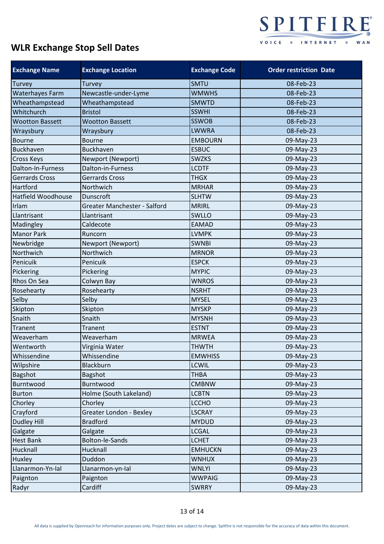

| <b>Exchange Name</b>      | <b>Exchange Location</b>       | <b>Exchange Code</b> | <b>Order restriction Date</b> |
|---------------------------|--------------------------------|----------------------|-------------------------------|
| <b>Turvey</b>             | Turvey                         | <b>SMTU</b>          | 08-Feb-23                     |
| Waterhayes Farm           | Newcastle-under-Lyme           | <b>WMWHS</b>         | 08-Feb-23                     |
| Wheathampstead            | Wheathampstead                 | <b>SMWTD</b>         | 08-Feb-23                     |
| Whitchurch                | <b>Bristol</b>                 | <b>SSWHI</b>         | 08-Feb-23                     |
| <b>Wootton Bassett</b>    | <b>Wootton Bassett</b>         | <b>SSWOB</b>         | 08-Feb-23                     |
| Wraysbury                 | Wraysbury                      | <b>LWWRA</b>         | 08-Feb-23                     |
| <b>Bourne</b>             | <b>Bourne</b>                  | <b>EMBOURN</b>       | 09-May-23                     |
| <b>Buckhaven</b>          | <b>Buckhaven</b>               | <b>ESBUC</b>         | 09-May-23                     |
| Cross Keys                | Newport (Newport)              | <b>SWZKS</b>         | 09-May-23                     |
| Dalton-In-Furness         | Dalton-in-Furness              | <b>LCDTF</b>         | 09-May-23                     |
| Gerrards Cross            | Gerrards Cross                 | <b>THGX</b>          | 09-May-23                     |
| Hartford                  | Northwich                      | <b>MRHAR</b>         | 09-May-23                     |
| <b>Hatfield Woodhouse</b> | Dunscroft                      | <b>SLHTW</b>         | 09-May-23                     |
| Irlam                     | Greater Manchester - Salford   | <b>MRIRL</b>         | 09-May-23                     |
| Llantrisant               | Llantrisant                    | SWLLO                | 09-May-23                     |
| Madingley                 | Caldecote                      | <b>EAMAD</b>         | 09-May-23                     |
| <b>Manor Park</b>         | Runcorn                        | <b>LVMPK</b>         | 09-May-23                     |
| Newbridge                 | Newport (Newport)              | <b>SWNBI</b>         | 09-May-23                     |
| Northwich                 | Northwich                      | <b>MRNOR</b>         | 09-May-23                     |
| Penicuik                  | Penicuik                       | <b>ESPCK</b>         | 09-May-23                     |
| Pickering                 | Pickering                      | <b>MYPIC</b>         | 09-May-23                     |
| Rhos On Sea               | Colwyn Bay                     | <b>WNROS</b>         | 09-May-23                     |
| Rosehearty                | Rosehearty                     | <b>NSRHT</b>         | 09-May-23                     |
| Selby                     | Selby                          | <b>MYSEL</b>         | 09-May-23                     |
| Skipton                   | Skipton                        | <b>MYSKP</b>         | 09-May-23                     |
| Snaith                    | Snaith                         | <b>MYSNH</b>         | 09-May-23                     |
| Tranent                   | Tranent                        | <b>ESTNT</b>         | 09-May-23                     |
| Weaverham                 | Weaverham                      | <b>MRWEA</b>         | 09-May-23                     |
| Wentworth                 | Virginia Water                 | <b>THWTH</b>         | 09-May-23                     |
| Whissendine               | Whissendine                    | <b>EMWHISS</b>       | 09-May-23                     |
| Wilpshire                 | <b>Blackburn</b>               | <b>LCWIL</b>         | 09-May-23                     |
| <b>Bagshot</b>            | Bagshot                        | <b>THBA</b>          | 09-May-23                     |
| Burntwood                 | Burntwood                      | <b>CMBNW</b>         | 09-May-23                     |
| <b>Burton</b>             | Holme (South Lakeland)         | <b>LCBTN</b>         | 09-May-23                     |
| Chorley                   | Chorley                        | <b>LCCHO</b>         | 09-May-23                     |
| Crayford                  | <b>Greater London - Bexley</b> | <b>LSCRAY</b>        | 09-May-23                     |
| <b>Dudley Hill</b>        | <b>Bradford</b>                | <b>MYDUD</b>         | 09-May-23                     |
| Galgate                   | Galgate                        | <b>LCGAL</b>         | 09-May-23                     |
| <b>Hest Bank</b>          | Bolton-le-Sands                | <b>LCHET</b>         | 09-May-23                     |
| Hucknall                  | Hucknall                       | <b>EMHUCKN</b>       | 09-May-23                     |
| Huxley                    | Duddon                         | <b>WNHUX</b>         | 09-May-23                     |
| Llanarmon-Yn-Ial          | Llanarmon-yn-Ial               | <b>WNLYI</b>         | 09-May-23                     |
| Paignton                  | Paignton                       | <b>WWPAIG</b>        | 09-May-23                     |
| Radyr                     | Cardiff                        | <b>SWRRY</b>         | 09-May-23                     |